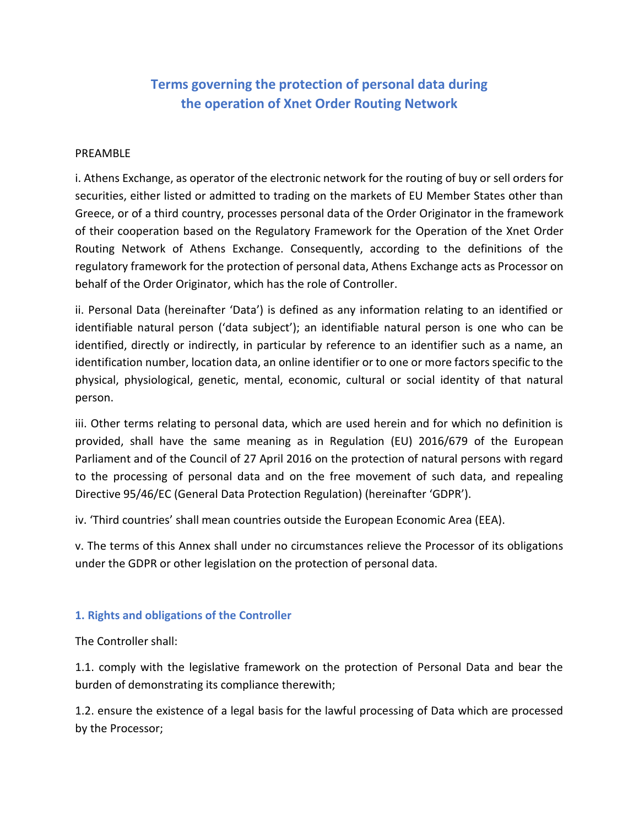# **Terms governing the protection of personal data during the operation of Xnet Order Routing Network**

#### PREAMBLE

i. Athens Exchange, as operator of the electronic network for the routing of buy or sell orders for securities, either listed or admitted to trading on the markets of EU Member States other than Greece, or of a third country, processes personal data of the Order Originator in the framework of their cooperation based on the Regulatory Framework for the Operation of the Xnet Order Routing Network of Athens Exchange. Consequently, according to the definitions of the regulatory framework for the protection of personal data, Athens Exchange acts as Processor on behalf of the Order Originator, which has the role of Controller.

ii. Personal Data (hereinafter 'Data') is defined as any information relating to an identified or identifiable natural person ('data subject'); an identifiable natural person is one who can be identified, directly or indirectly, in particular by reference to an identifier such as a name, an identification number, location data, an online identifier or to one or more factors specific to the physical, physiological, genetic, mental, economic, cultural or social identity of that natural person.

iii. Other terms relating to personal data, which are used herein and for which no definition is provided, shall have the same meaning as in Regulation (EU) 2016/679 of the European Parliament and of the Council of 27 April 2016 on the protection of natural persons with regard to the processing of personal data and on the free movement of such data, and repealing Directive 95/46/EC (General Data Protection Regulation) (hereinafter 'GDPR').

iv. 'Third countries' shall mean countries outside the European Economic Area (EEA).

v. The terms of this Annex shall under no circumstances relieve the Processor of its obligations under the GDPR or other legislation on the protection of personal data.

#### **1. Rights and obligations of the Controller**

The Controller shall:

1.1. comply with the legislative framework on the protection of Personal Data and bear the burden of demonstrating its compliance therewith;

1.2. ensure the existence of a legal basis for the lawful processing of Data which are processed by the Processor;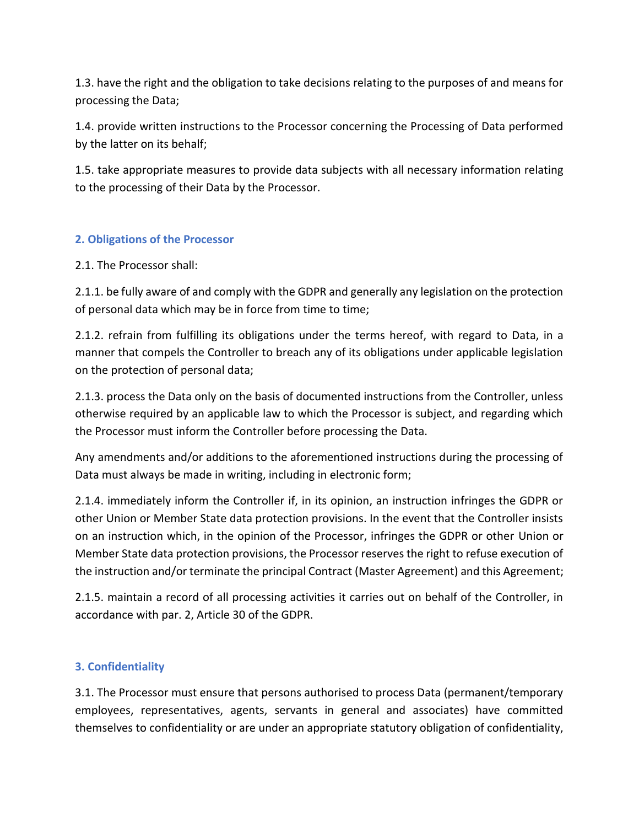1.3. have the right and the obligation to take decisions relating to the purposes of and means for processing the Data;

1.4. provide written instructions to the Processor concerning the Processing of Data performed by the latter on its behalf;

1.5. take appropriate measures to provide data subjects with all necessary information relating to the processing of their Data by the Processor.

### **2. Obligations of the Processor**

2.1. The Processor shall:

2.1.1. be fully aware of and comply with the GDPR and generally any legislation on the protection of personal data which may be in force from time to time;

2.1.2. refrain from fulfilling its obligations under the terms hereof, with regard to Data, in a manner that compels the Controller to breach any of its obligations under applicable legislation on the protection of personal data;

2.1.3. process the Data only on the basis of documented instructions from the Controller, unless otherwise required by an applicable law to which the Processor is subject, and regarding which the Processor must inform the Controller before processing the Data.

Any amendments and/or additions to the aforementioned instructions during the processing of Data must always be made in writing, including in electronic form;

2.1.4. immediately inform the Controller if, in its opinion, an instruction infringes the GDPR or other Union or Member State data protection provisions. In the event that the Controller insists on an instruction which, in the opinion of the Processor, infringes the GDPR or other Union or Member State data protection provisions, the Processor reserves the right to refuse execution of the instruction and/or terminate the principal Contract (Master Agreement) and this Agreement;

2.1.5. maintain a record of all processing activities it carries out on behalf of the Controller, in accordance with par. 2, Article 30 of the GDPR.

# **3. Confidentiality**

3.1. The Processor must ensure that persons authorised to process Data (permanent/temporary employees, representatives, agents, servants in general and associates) have committed themselves to confidentiality or are under an appropriate statutory obligation of confidentiality,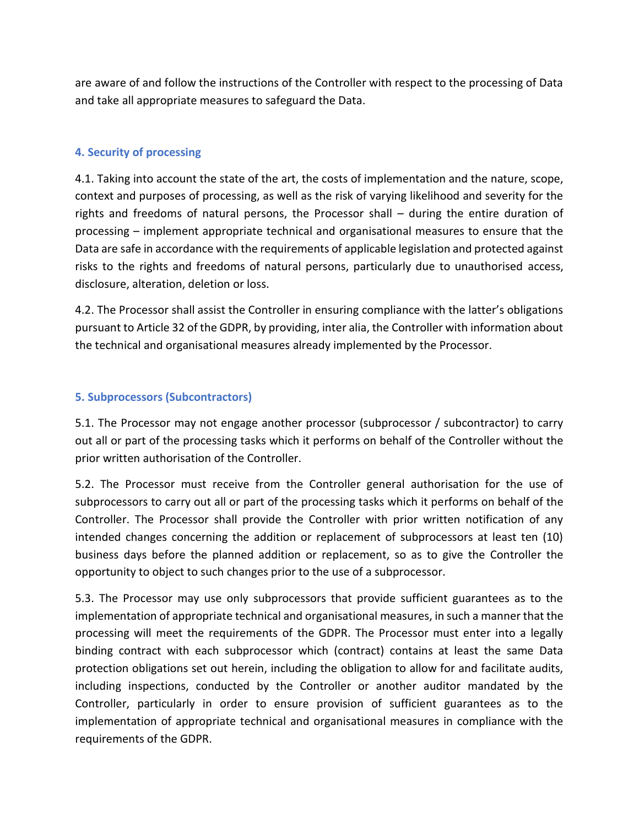are aware of and follow the instructions of the Controller with respect to the processing of Data and take all appropriate measures to safeguard the Data.

### **4. Security of processing**

4.1. Taking into account the state of the art, the costs of implementation and the nature, scope, context and purposes of processing, as well as the risk of varying likelihood and severity for the rights and freedoms of natural persons, the Processor shall – during the entire duration of processing – implement appropriate technical and organisational measures to ensure that the Data are safe in accordance with the requirements of applicable legislation and protected against risks to the rights and freedoms of natural persons, particularly due to unauthorised access, disclosure, alteration, deletion or loss.

4.2. The Processor shall assist the Controller in ensuring compliance with the latter's obligations pursuant to Article 32 of the GDPR, by providing, inter alia, the Controller with information about the technical and organisational measures already implemented by the Processor.

### **5. Subprocessors (Subcontractors)**

5.1. The Processor may not engage another processor (subprocessor / subcontractor) to carry out all or part of the processing tasks which it performs on behalf of the Controller without the prior written authorisation of the Controller.

5.2. The Processor must receive from the Controller general authorisation for the use of subprocessors to carry out all or part of the processing tasks which it performs on behalf of the Controller. The Processor shall provide the Controller with prior written notification of any intended changes concerning the addition or replacement of subprocessors at least ten (10) business days before the planned addition or replacement, so as to give the Controller the opportunity to object to such changes prior to the use of a subprocessor.

5.3. The Processor may use only subprocessors that provide sufficient guarantees as to the implementation of appropriate technical and organisational measures, in such a manner that the processing will meet the requirements of the GDPR. The Processor must enter into a legally binding contract with each subprocessor which (contract) contains at least the same Data protection obligations set out herein, including the obligation to allow for and facilitate audits, including inspections, conducted by the Controller or another auditor mandated by the Controller, particularly in order to ensure provision of sufficient guarantees as to the implementation of appropriate technical and organisational measures in compliance with the requirements of the GDPR.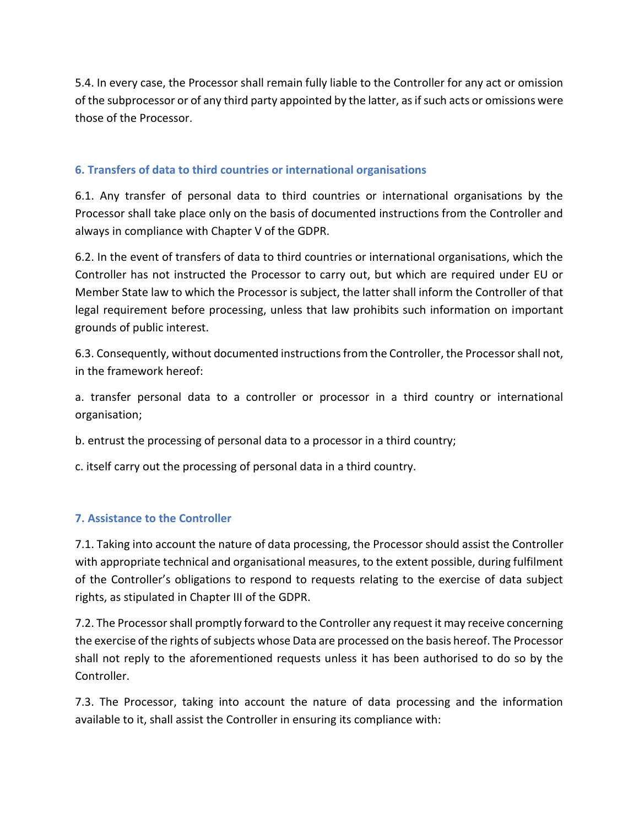5.4. In every case, the Processor shall remain fully liable to the Controller for any act or omission of the subprocessor or of any third party appointed by the latter, as if such acts or omissions were those of the Processor.

## **6. Transfers of data to third countries or international organisations**

6.1. Any transfer of personal data to third countries or international organisations by the Processor shall take place only on the basis of documented instructions from the Controller and always in compliance with Chapter V of the GDPR.

6.2. In the event of transfers of data to third countries or international organisations, which the Controller has not instructed the Processor to carry out, but which are required under EU or Member State law to which the Processor is subject, the latter shall inform the Controller of that legal requirement before processing, unless that law prohibits such information on important grounds of public interest.

6.3. Consequently, without documented instructions from the Controller, the Processor shall not, in the framework hereof:

a. transfer personal data to a controller or processor in a third country or international organisation;

b. entrust the processing of personal data to a processor in a third country;

c. itself carry out the processing of personal data in a third country.

### **7. Assistance to the Controller**

7.1. Taking into account the nature of data processing, the Processor should assist the Controller with appropriate technical and organisational measures, to the extent possible, during fulfilment of the Controller's obligations to respond to requests relating to the exercise of data subject rights, as stipulated in Chapter III of the GDPR.

7.2. The Processor shall promptly forward to the Controller any request it may receive concerning the exercise of the rights of subjects whose Data are processed on the basis hereof. The Processor shall not reply to the aforementioned requests unless it has been authorised to do so by the Controller.

7.3. The Processor, taking into account the nature of data processing and the information available to it, shall assist the Controller in ensuring its compliance with: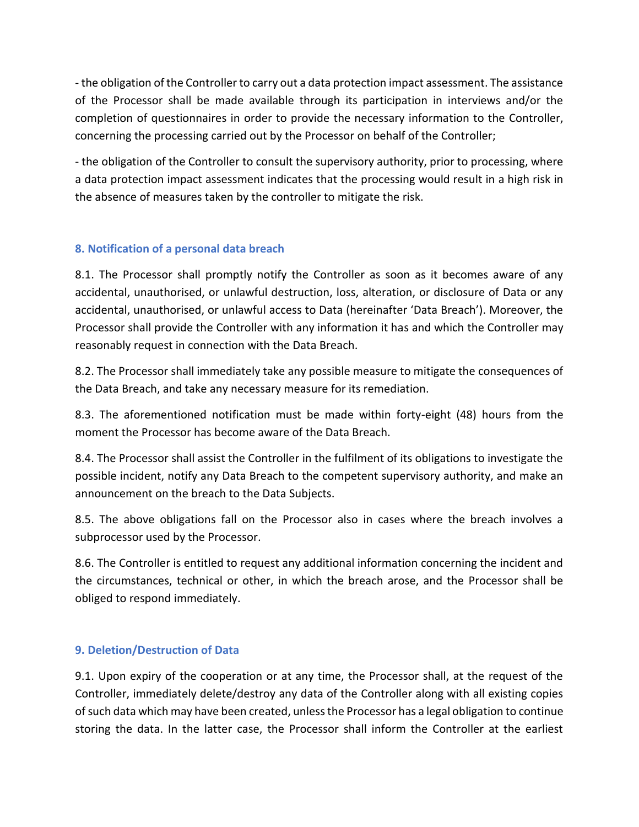- the obligation of the Controller to carry out a data protection impact assessment. The assistance of the Processor shall be made available through its participation in interviews and/or the completion of questionnaires in order to provide the necessary information to the Controller, concerning the processing carried out by the Processor on behalf of the Controller;

- the obligation of the Controller to consult the supervisory authority, prior to processing, where a data protection impact assessment indicates that the processing would result in a high risk in the absence of measures taken by the controller to mitigate the risk.

#### **8. Notification of a personal data breach**

8.1. The Processor shall promptly notify the Controller as soon as it becomes aware of any accidental, unauthorised, or unlawful destruction, loss, alteration, or disclosure of Data or any accidental, unauthorised, or unlawful access to Data (hereinafter 'Data Breach'). Moreover, the Processor shall provide the Controller with any information it has and which the Controller may reasonably request in connection with the Data Breach.

8.2. The Processor shall immediately take any possible measure to mitigate the consequences of the Data Breach, and take any necessary measure for its remediation.

8.3. The aforementioned notification must be made within forty-eight (48) hours from the moment the Processor has become aware of the Data Breach.

8.4. The Processor shall assist the Controller in the fulfilment of its obligations to investigate the possible incident, notify any Data Breach to the competent supervisory authority, and make an announcement on the breach to the Data Subjects.

8.5. The above obligations fall on the Processor also in cases where the breach involves a subprocessor used by the Processor.

8.6. The Controller is entitled to request any additional information concerning the incident and the circumstances, technical or other, in which the breach arose, and the Processor shall be obliged to respond immediately.

### **9. Deletion/Destruction of Data**

9.1. Upon expiry of the cooperation or at any time, the Processor shall, at the request of the Controller, immediately delete/destroy any data of the Controller along with all existing copies of such data which may have been created, unless the Processor has a legal obligation to continue storing the data. In the latter case, the Processor shall inform the Controller at the earliest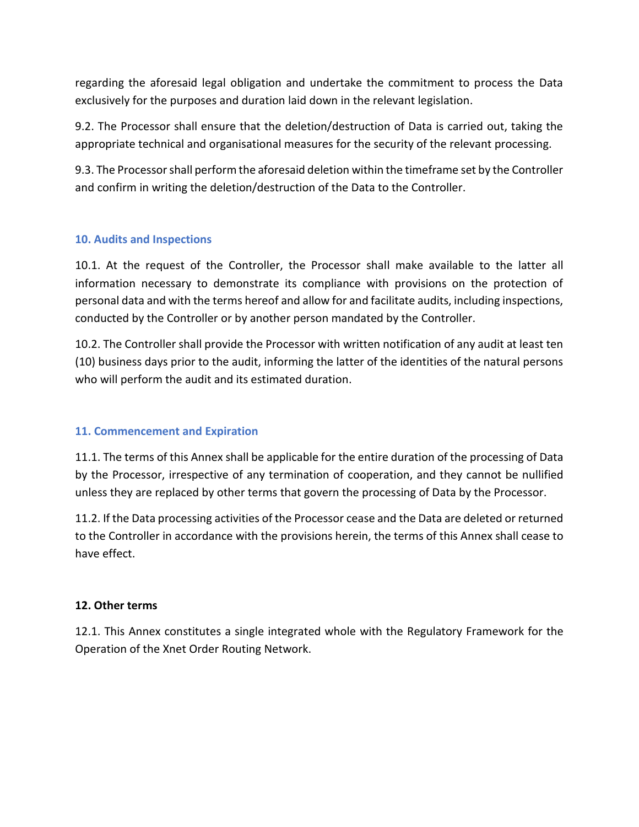regarding the aforesaid legal obligation and undertake the commitment to process the Data exclusively for the purposes and duration laid down in the relevant legislation.

9.2. The Processor shall ensure that the deletion/destruction of Data is carried out, taking the appropriate technical and organisational measures for the security of the relevant processing.

9.3. The Processor shall perform the aforesaid deletion within the timeframe set by the Controller and confirm in writing the deletion/destruction of the Data to the Controller.

### **10. Audits and Inspections**

10.1. At the request of the Controller, the Processor shall make available to the latter all information necessary to demonstrate its compliance with provisions on the protection of personal data and with the terms hereof and allow for and facilitate audits, including inspections, conducted by the Controller or by another person mandated by the Controller.

10.2. The Controller shall provide the Processor with written notification of any audit at least ten (10) business days prior to the audit, informing the latter of the identities of the natural persons who will perform the audit and its estimated duration.

### **11. Commencement and Expiration**

11.1. The terms of this Annex shall be applicable for the entire duration of the processing of Data by the Processor, irrespective of any termination of cooperation, and they cannot be nullified unless they are replaced by other terms that govern the processing of Data by the Processor.

11.2. If the Data processing activities of the Processor cease and the Data are deleted or returned to the Controller in accordance with the provisions herein, the terms of this Annex shall cease to have effect.

### **12. Other terms**

12.1. This Annex constitutes a single integrated whole with the Regulatory Framework for the Operation of the Xnet Order Routing Network.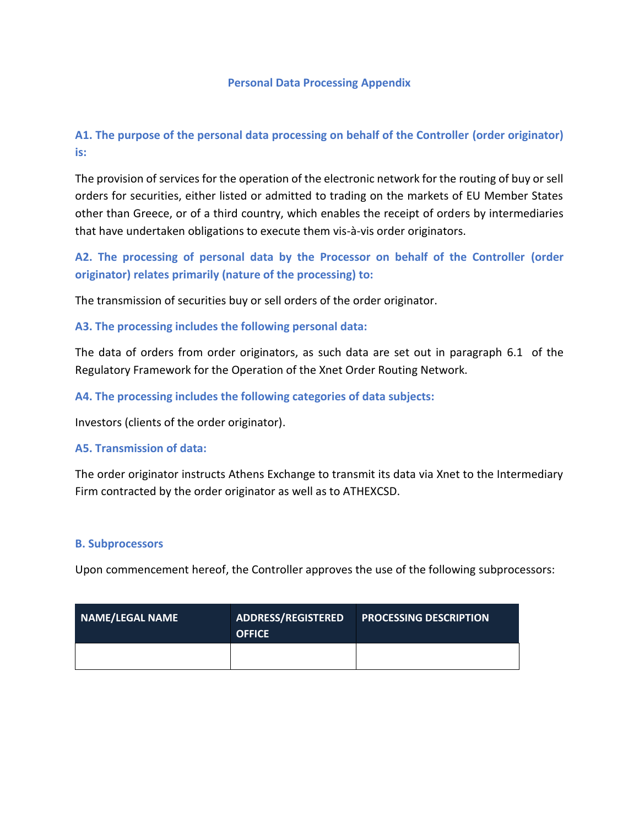#### **Personal Data Processing Appendix**

# **A1. The purpose of the personal data processing on behalf of the Controller (order originator) is:**

The provision of services for the operation of the electronic network for the routing of buy or sell orders for securities, either listed or admitted to trading on the markets of EU Member States other than Greece, or of a third country, which enables the receipt of orders by intermediaries that have undertaken obligations to execute them vis-à-vis order originators.

**A2. The processing of personal data by the Processor on behalf of the Controller (order originator) relates primarily (nature of the processing) to:**

The transmission of securities buy or sell orders of the order originator.

**A3. The processing includes the following personal data:**

The data of orders from order originators, as such data are set out in paragraph 6.1 of the Regulatory Framework for the Operation of the Xnet Order Routing Network.

**A4. The processing includes the following categories of data subjects:**

Investors (clients of the order originator).

#### **A5. Transmission of data:**

The order originator instructs Athens Exchange to transmit its data via Xnet to the Intermediary Firm contracted by the order originator as well as to ATHEXCSD.

#### **B. Subprocessors**

Upon commencement hereof, the Controller approves the use of the following subprocessors:

| NAME/LEGAL NAME | <b>ADDRESS/REGISTERED</b><br><b>OFFICE</b> | <b>PROCESSING DESCRIPTION</b> |
|-----------------|--------------------------------------------|-------------------------------|
|                 |                                            |                               |